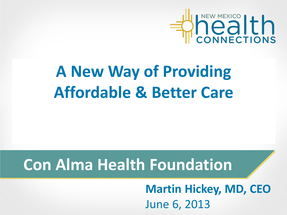

# **A New Way of Providing Affordable & Better Care**

#### **Con Alma Health Foundation**

**Martin Hickey, MD, CEO** June 6, 2013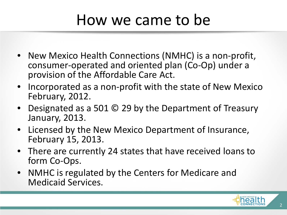#### How we came to be

- New Mexico Health Connections (NMHC) is a non-profit, consumer-operated and oriented plan (Co-Op) under a provision of the Affordable Care Act.
- Incorporated as a non-profit with the state of New Mexico February, 2012.
- Designated as a 501 © 29 by the Department of Treasury January, 2013.
- Licensed by the New Mexico Department of Insurance, February 15, 2013.
- There are currently 24 states that have received loans to form Co-Ops.
- NMHC is regulated by the Centers for Medicare and Medicaid Services.

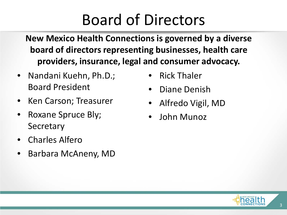### Board of Directors

**New Mexico Health Connections is governed by a diverse board of directors representing businesses, health care providers, insurance, legal and consumer advocacy.**

- Nandani Kuehn, Ph.D.; Board President
- Ken Carson; Treasurer
- Roxane Spruce Bly; **Secretary**
- Charles Alfero
- Barbara McAneny, MD
- Rick Thaler
- Diane Denish
- Alfredo Vigil, MD
- John Munoz

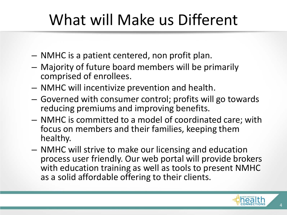# What will Make us Different

- NMHC is a patient centered, non profit plan.
- Majority of future board members will be primarily comprised of enrollees.
- NMHC will incentivize prevention and health.
- Governed with consumer control; profits will go towards reducing premiums and improving benefits.
- NMHC is committed to a model of coordinated care; with focus on members and their families, keeping them healthy.
- NMHC will strive to make our licensing and education process user friendly. Our web portal will provide brokers with education training as well as tools to present NMHC as a solid affordable offering to their clients.

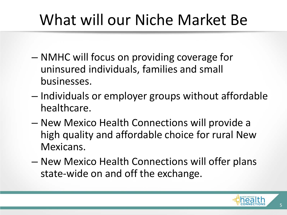# What will our Niche Market Be

- NMHC will focus on providing coverage for uninsured individuals, families and small businesses.
- Individuals or employer groups without affordable healthcare.
- New Mexico Health Connections will provide a high quality and affordable choice for rural New Mexicans.
- New Mexico Health Connections will offer plans state-wide on and off the exchange.

5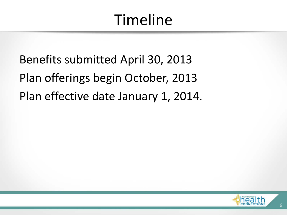## Timeline

Benefits submitted April 30, 2013 Plan offerings begin October, 2013 Plan effective date January 1, 2014.